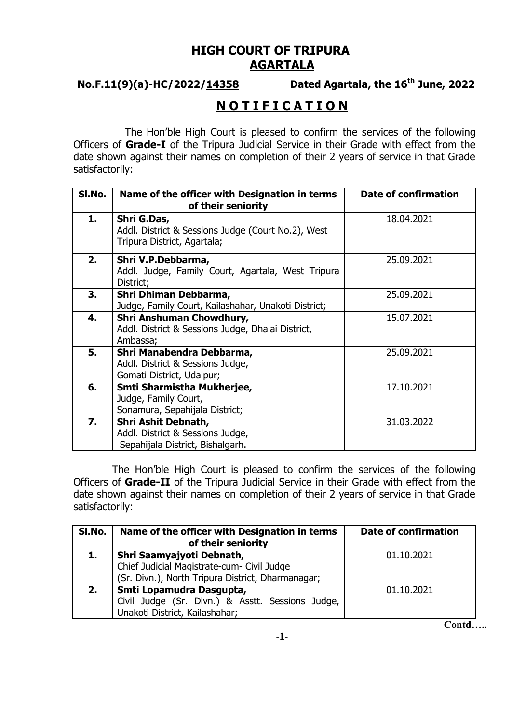## **HIGH COURT OF TRIPURA AGARTALA**

# **No.F.11(9)(a)-HC/2022/14358**

## Dated Agartala, the 16<sup>th</sup> June, 2022

# **N O T I F I C A T I O N**

 The Hon'ble High Court is pleased to confirm the services of the following Officers of **Grade-I** of the Tripura Judicial Service in their Grade with effect from the date shown against their names on completion of their 2 years of service in that Grade satisfactorily:

| SI.No. | Name of the officer with Designation in terms<br>of their seniority                              | <b>Date of confirmation</b> |
|--------|--------------------------------------------------------------------------------------------------|-----------------------------|
| 1.     | Shri G.Das,<br>Addl. District & Sessions Judge (Court No.2), West<br>Tripura District, Agartala; | 18.04.2021                  |
| 2.     | Shri V.P.Debbarma,<br>Addl. Judge, Family Court, Agartala, West Tripura<br>District;             | 25.09.2021                  |
| 3.     | Shri Dhiman Debbarma,<br>Judge, Family Court, Kailashahar, Unakoti District;                     | 25.09.2021                  |
| 4.     | Shri Anshuman Chowdhury,<br>Addl. District & Sessions Judge, Dhalai District,<br>Ambassa;        | 15.07.2021                  |
| 5.     | Shri Manabendra Debbarma,<br>Addl. District & Sessions Judge,<br>Gomati District, Udaipur;       | 25.09.2021                  |
| 6.     | Smti Sharmistha Mukherjee,<br>Judge, Family Court,<br>Sonamura, Sepahijala District;             | 17.10.2021                  |
| 7.     | Shri Ashit Debnath,<br>Addl. District & Sessions Judge,<br>Sepahijala District, Bishalgarh.      | 31.03.2022                  |

The Hon'ble High Court is pleased to confirm the services of the following Officers of **Grade-II** of the Tripura Judicial Service in their Grade with effect from the date shown against their names on completion of their 2 years of service in that Grade satisfactorily:

| SI.No. | Name of the officer with Designation in terms<br>of their seniority                                            | <b>Date of confirmation</b> |
|--------|----------------------------------------------------------------------------------------------------------------|-----------------------------|
| 1.     | Shri Saamyajyoti Debnath,<br>Chief Judicial Magistrate-cum- Civil Judge                                        | 01.10.2021                  |
|        | (Sr. Divn.), North Tripura District, Dharmanagar;                                                              |                             |
| 2.     | Smti Lopamudra Dasgupta,<br>Civil Judge (Sr. Divn.) & Asstt. Sessions Judge,<br>Unakoti District, Kailashahar; | 01.10.2021                  |

**Contd…..**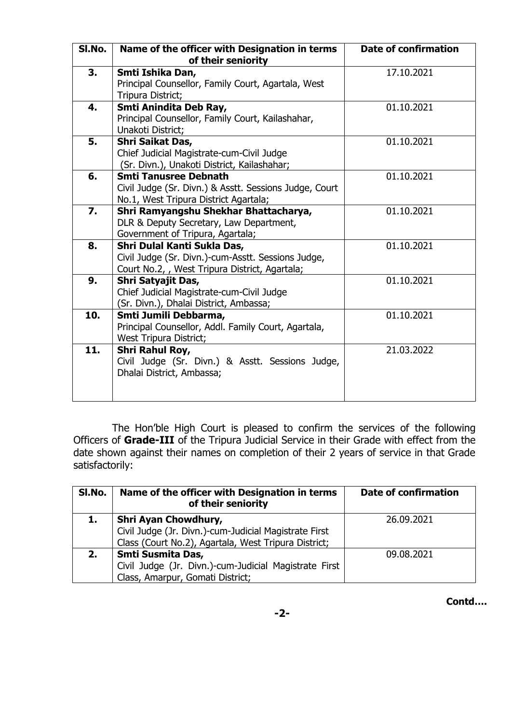| SI.No. | Name of the officer with Designation in terms<br>of their seniority                                                                | <b>Date of confirmation</b> |
|--------|------------------------------------------------------------------------------------------------------------------------------------|-----------------------------|
| 3.     | Smti Ishika Dan,<br>Principal Counsellor, Family Court, Agartala, West<br>Tripura District;                                        | 17.10.2021                  |
| 4.     | Smti Anindita Deb Ray,<br>Principal Counsellor, Family Court, Kailashahar,<br>Unakoti District;                                    | 01.10.2021                  |
| 5.     | Shri Saikat Das,<br>Chief Judicial Magistrate-cum-Civil Judge<br>(Sr. Divn.), Unakoti District, Kailashahar;                       | 01.10.2021                  |
| 6.     | <b>Smti Tanusree Debnath</b><br>Civil Judge (Sr. Divn.) & Asstt. Sessions Judge, Court<br>No.1, West Tripura District Agartala;    | 01.10.2021                  |
| 7.     | Shri Ramyangshu Shekhar Bhattacharya,<br>DLR & Deputy Secretary, Law Department,<br>Government of Tripura, Agartala;               | 01.10.2021                  |
| 8.     | Shri Dulal Kanti Sukla Das,<br>Civil Judge (Sr. Divn.)-cum-Asstt. Sessions Judge,<br>Court No.2,, West Tripura District, Agartala; | 01.10.2021                  |
| 9.     | Shri Satyajit Das,<br>Chief Judicial Magistrate-cum-Civil Judge<br>(Sr. Divn.), Dhalai District, Ambassa;                          | 01.10.2021                  |
| 10.    | Smti Jumili Debbarma,<br>Principal Counsellor, Addl. Family Court, Agartala,<br>West Tripura District;                             | 01.10.2021                  |
| 11.    | Shri Rahul Roy,<br>Civil Judge (Sr. Divn.) & Asstt. Sessions Judge,<br>Dhalai District, Ambassa;                                   | 21.03.2022                  |

The Hon'ble High Court is pleased to confirm the services of the following Officers of **Grade-III** of the Tripura Judicial Service in their Grade with effect from the date shown against their names on completion of their 2 years of service in that Grade satisfactorily:

| SI.No. | Name of the officer with Designation in terms<br>of their seniority                                                                   | <b>Date of confirmation</b> |
|--------|---------------------------------------------------------------------------------------------------------------------------------------|-----------------------------|
|        | Shri Ayan Chowdhury,<br>Civil Judge (Jr. Divn.)-cum-Judicial Magistrate First<br>Class (Court No.2), Agartala, West Tripura District; | 26.09.2021                  |
| 2.     | Smti Susmita Das,<br>Civil Judge (Jr. Divn.)-cum-Judicial Magistrate First<br>Class, Amarpur, Gomati District;                        | 09.08.2021                  |

**Contd….**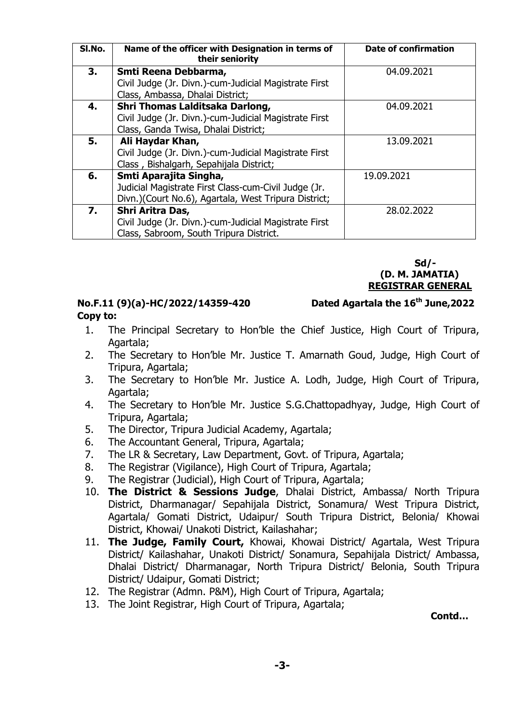| SI.No. | Name of the officer with Designation in terms of<br>their seniority | <b>Date of confirmation</b> |
|--------|---------------------------------------------------------------------|-----------------------------|
| 3.     | Smti Reena Debbarma,                                                | 04.09.2021                  |
|        | Civil Judge (Jr. Divn.)-cum-Judicial Magistrate First               |                             |
|        | Class, Ambassa, Dhalai District;                                    |                             |
| 4.     | Shri Thomas Lalditsaka Darlong,                                     | 04.09.2021                  |
|        | Civil Judge (Jr. Divn.)-cum-Judicial Magistrate First               |                             |
|        | Class, Ganda Twisa, Dhalai District;                                |                             |
| 5.     | Ali Haydar Khan,                                                    | 13.09.2021                  |
|        | Civil Judge (Jr. Divn.)-cum-Judicial Magistrate First               |                             |
|        | Class, Bishalgarh, Sepahijala District;                             |                             |
| 6.     | Smti Aparajita Singha,                                              | 19.09.2021                  |
|        | Judicial Magistrate First Class-cum-Civil Judge (Jr.                |                             |
|        | Divn.)(Court No.6), Agartala, West Tripura District;                |                             |
| 7.     | Shri Aritra Das,                                                    | 28.02.2022                  |
|        | Civil Judge (Jr. Divn.)-cum-Judicial Magistrate First               |                             |
|        | Class, Sabroom, South Tripura District.                             |                             |

#### **Sd/- (D. M. JAMATIA) REGISTRAR GENERAL**

Dated Agartala the 16<sup>th</sup> June, 2022

### **No.F.11 (9)(a)-HC/2022/14359-420 Copy to:**

# 1. The Principal Secretary to Hon'ble the Chief Justice, High Court of Tripura, Agartala;

- 2. The Secretary to Hon'ble Mr. Justice T. Amarnath Goud, Judge, High Court of Tripura, Agartala;
- 3. The Secretary to Hon'ble Mr. Justice A. Lodh, Judge, High Court of Tripura, Agartala;
- 4. The Secretary to Hon'ble Mr. Justice S.G.Chattopadhyay, Judge, High Court of Tripura, Agartala;
- 5. The Director, Tripura Judicial Academy, Agartala;
- 6. The Accountant General, Tripura, Agartala;
- 7. The LR & Secretary, Law Department, Govt. of Tripura, Agartala;
- 8. The Registrar (Vigilance), High Court of Tripura, Agartala;
- 9. The Registrar (Judicial), High Court of Tripura, Agartala;
- 10. **The District & Sessions Judge**, Dhalai District, Ambassa/ North Tripura District, Dharmanagar/ Sepahijala District, Sonamura/ West Tripura District, Agartala/ Gomati District, Udaipur/ South Tripura District, Belonia/ Khowai District, Khowai/ Unakoti District, Kailashahar;
- 11. **The Judge, Family Court,** Khowai, Khowai District/ Agartala, West Tripura District/ Kailashahar, Unakoti District/ Sonamura, Sepahijala District/ Ambassa, Dhalai District/ Dharmanagar, North Tripura District/ Belonia, South Tripura District/ Udaipur, Gomati District;
- 12. The Registrar (Admn. P&M), High Court of Tripura, Agartala;
- 13. The Joint Registrar, High Court of Tripura, Agartala;

 **Contd…**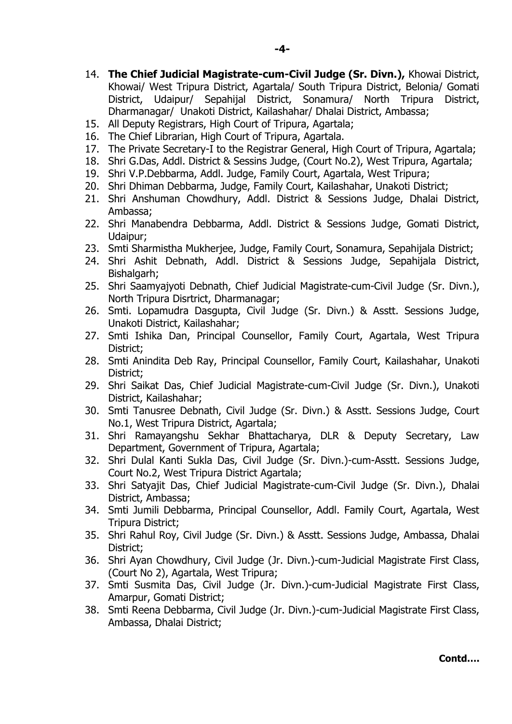- 14. **The Chief Judicial Magistrate-cum-Civil Judge (Sr. Divn.),** Khowai District, Khowai/ West Tripura District, Agartala/ South Tripura District, Belonia/ Gomati District, Udaipur/ Sepahijal District, Sonamura/ North Tripura District, Dharmanagar/ Unakoti District, Kailashahar/ Dhalai District, Ambassa;
- 15. All Deputy Registrars, High Court of Tripura, Agartala;
- 16. The Chief Librarian, High Court of Tripura, Agartala.
- 17. The Private Secretary-I to the Registrar General, High Court of Tripura, Agartala;
- 18. Shri G.Das, Addl. District & Sessins Judge, (Court No.2), West Tripura, Agartala;
- 19. Shri V.P.Debbarma, Addl. Judge, Family Court, Agartala, West Tripura;
- 20. Shri Dhiman Debbarma, Judge, Family Court, Kailashahar, Unakoti District;
- 21. Shri Anshuman Chowdhury, Addl. District & Sessions Judge, Dhalai District, Ambassa;
- 22. Shri Manabendra Debbarma, Addl. District & Sessions Judge, Gomati District, Udaipur;
- 23. Smti Sharmistha Mukherjee, Judge, Family Court, Sonamura, Sepahijala District;
- 24. Shri Ashit Debnath, Addl. District & Sessions Judge, Sepahijala District, Bishalgarh;
- 25. Shri Saamyajyoti Debnath, Chief Judicial Magistrate-cum-Civil Judge (Sr. Divn.), North Tripura Disrtrict, Dharmanagar;
- 26. Smti. Lopamudra Dasgupta, Civil Judge (Sr. Divn.) & Asstt. Sessions Judge, Unakoti District, Kailashahar;
- 27. Smti Ishika Dan, Principal Counsellor, Family Court, Agartala, West Tripura District;
- 28. Smti Anindita Deb Ray, Principal Counsellor, Family Court, Kailashahar, Unakoti District;
- 29. Shri Saikat Das, Chief Judicial Magistrate-cum-Civil Judge (Sr. Divn.), Unakoti District, Kailashahar;
- 30. Smti Tanusree Debnath, Civil Judge (Sr. Divn.) & Asstt. Sessions Judge, Court No.1, West Tripura District, Agartala;
- 31. Shri Ramayangshu Sekhar Bhattacharya, DLR & Deputy Secretary, Law Department, Government of Tripura, Agartala;
- 32. Shri Dulal Kanti Sukla Das, Civil Judge (Sr. Divn.)-cum-Asstt. Sessions Judge, Court No.2, West Tripura District Agartala;
- 33. Shri Satyajit Das, Chief Judicial Magistrate-cum-Civil Judge (Sr. Divn.), Dhalai District, Ambassa;
- 34. Smti Jumili Debbarma, Principal Counsellor, Addl. Family Court, Agartala, West Tripura District;
- 35. Shri Rahul Roy, Civil Judge (Sr. Divn.) & Asstt. Sessions Judge, Ambassa, Dhalai District;
- 36. Shri Ayan Chowdhury, Civil Judge (Jr. Divn.)-cum-Judicial Magistrate First Class, (Court No 2), Agartala, West Tripura;
- 37. Smti Susmita Das, Civil Judge (Jr. Divn.)-cum-Judicial Magistrate First Class, Amarpur, Gomati District;
- 38. Smti Reena Debbarma, Civil Judge (Jr. Divn.)-cum-Judicial Magistrate First Class, Ambassa, Dhalai District;